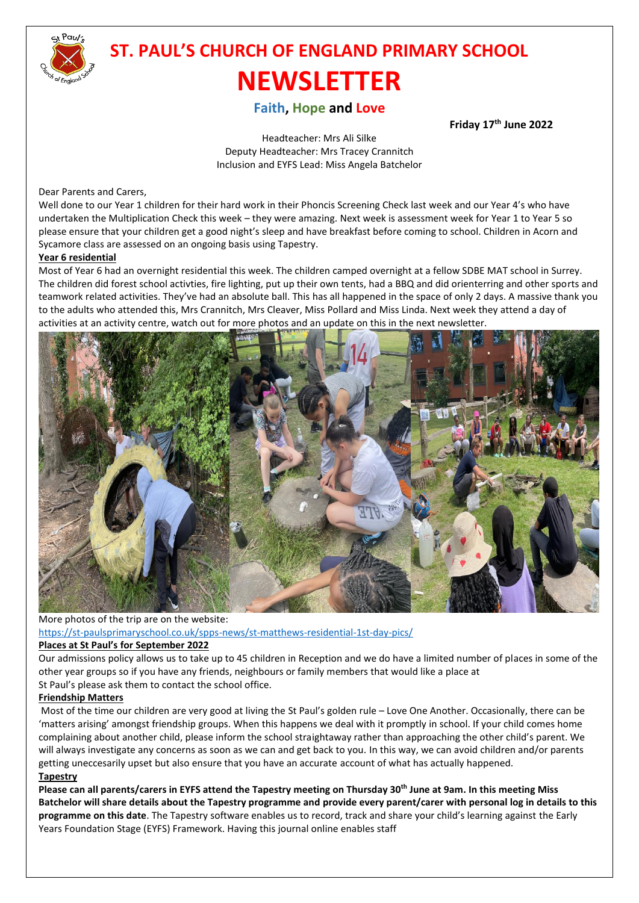

# **ST. PAUL'S CHURCH OF ENGLAND PRIMARY SCHOOL NEWSLETTER**

# **Faith, Hope and Love**

 **Friday 17th June 2022**

Headteacher: Mrs Ali Silke Deputy Headteacher: Mrs Tracey Crannitch Inclusion and EYFS Lead: Miss Angela Batchelor

#### Dear Parents and Carers,

Well done to our Year 1 children for their hard work in their Phoncis Screening Check last week and our Year 4's who have undertaken the Multiplication Check this week – they were amazing. Next week is assessment week for Year 1 to Year 5 so please ensure that your children get a good night's sleep and have breakfast before coming to school. Children in Acorn and Sycamore class are assessed on an ongoing basis using Tapestry.

#### **Year 6 residential**

Most of Year 6 had an overnight residential this week. The children camped overnight at a fellow SDBE MAT school in Surrey. The children did forest school activties, fire lighting, put up their own tents, had a BBQ and did orienterring and other sports and teamwork related activities. They've had an absolute ball. This has all happened in the space of only 2 days. A massive thank you to the adults who attended this, Mrs Crannitch, Mrs Cleaver, Miss Pollard and Miss Linda. Next week they attend a day of activities at an activity centre, watch out for more photos and an update on this in the next newsletter.



More photos of the trip are on the website: <https://st-paulsprimaryschool.co.uk/spps-news/st-matthews-residential-1st-day-pics/>

#### **Places at St Paul's for September 2022**

Our admissions policy allows us to take up to 45 children in Reception and we do have a limited number of places in some of the other year groups so if you have any friends, neighbours or family members that would like a place at St Paul's please ask them to contact the school office.

#### **Friendship Matters**

Most of the time our children are very good at living the St Paul's golden rule – Love One Another. Occasionally, there can be 'matters arising' amongst friendship groups. When this happens we deal with it promptly in school. If your child comes home complaining about another child, please inform the school straightaway rather than approaching the other child's parent. We will always investigate any concerns as soon as we can and get back to you. In this way, we can avoid children and/or parents getting uneccesarily upset but also ensure that you have an accurate account of what has actually happened. **Tapestry**

**Please can all parents/carers in EYFS attend the Tapestry meeting on Thursday 30th June at 9am. In this meeting Miss Batchelor will share details about the Tapestry programme and provide every parent/carer with personal log in details to this programme on this date**. The Tapestry software enables us to record, track and share your child's learning against the Early Years Foundation Stage (EYFS) Framework. Having this journal online enables staff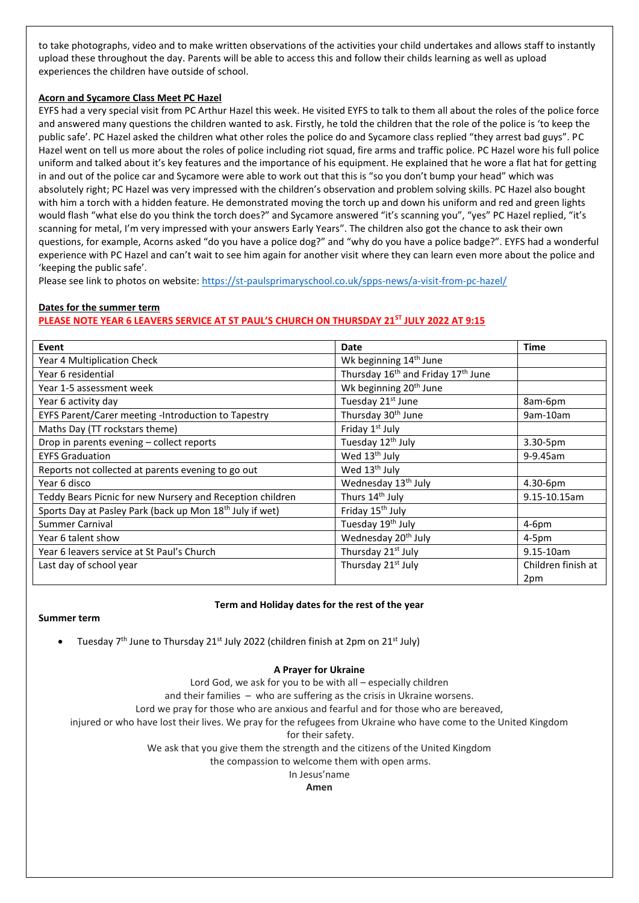to take photographs, video and to make written observations of the activities your child undertakes and allows staff to instantly upload these throughout the day. Parents will be able to access this and follow their childs learning as well as upload experiences the children have outside of school.

#### **Acorn and Sycamore Class Meet PC Hazel**

EYFS had a very special visit from PC Arthur Hazel this week. He visited EYFS to talk to them all about the roles of the police force and answered many questions the children wanted to ask. Firstly, he told the children that the role of the police is 'to keep the public safe'. PC Hazel asked the children what other roles the police do and Sycamore class replied "they arrest bad guys". PC Hazel went on tell us more about the roles of police including riot squad, fire arms and traffic police. PC Hazel wore his full police uniform and talked about it's key features and the importance of his equipment. He explained that he wore a flat hat for getting in and out of the police car and Sycamore were able to work out that this is "so you don't bump your head" which was absolutely right; PC Hazel was very impressed with the children's observation and problem solving skills. PC Hazel also bought with him a torch with a hidden feature. He demonstrated moving the torch up and down his uniform and red and green lights would flash "what else do you think the torch does?" and Sycamore answered "it's scanning you", "yes" PC Hazel replied, "it's scanning for metal, I'm very impressed with your answers Early Years". The children also got the chance to ask their own questions, for example, Acorns asked "do you have a police dog?" and "why do you have a police badge?". EYFS had a wonderful experience with PC Hazel and can't wait to see him again for another visit where they can learn even more about the police and 'keeping the public safe'.

Please see link to photos on website:<https://st-paulsprimaryschool.co.uk/spps-news/a-visit-from-pc-hazel/>

### **Dates for the summer term PLEASE NOTE YEAR 6 LEAVERS SERVICE AT ST PAUL'S CHURCH ON THURSDAY 21ST JULY 2022 AT 9:15**

| Event                                                                | Date                                                       | Time               |
|----------------------------------------------------------------------|------------------------------------------------------------|--------------------|
| Year 4 Multiplication Check                                          | Wk beginning 14 <sup>th</sup> June                         |                    |
| Year 6 residential                                                   | Thursday 16 <sup>th</sup> and Friday 17 <sup>th</sup> June |                    |
| Year 1-5 assessment week                                             | Wk beginning 20 <sup>th</sup> June                         |                    |
| Year 6 activity day                                                  | Tuesday 21st June                                          | 8am-6pm            |
| EYFS Parent/Carer meeting -Introduction to Tapestry                  | Thursday 30 <sup>th</sup> June                             | 9am-10am           |
| Maths Day (TT rockstars theme)                                       | Friday 1 <sup>st</sup> July                                |                    |
| Drop in parents evening - collect reports                            | Tuesday 12 <sup>th</sup> July                              | 3.30-5pm           |
| <b>EYFS Graduation</b>                                               | Wed 13 <sup>th</sup> July                                  | 9-9.45am           |
| Reports not collected at parents evening to go out                   | Wed 13 <sup>th</sup> July                                  |                    |
| Year 6 disco                                                         | Wednesday 13 <sup>th</sup> July                            | 4.30-6pm           |
| Teddy Bears Picnic for new Nursery and Reception children            | Thurs 14th July                                            | 9.15-10.15am       |
| Sports Day at Pasley Park (back up Mon 18 <sup>th</sup> July if wet) | Friday 15 <sup>th</sup> July                               |                    |
| Summer Carnival                                                      | Tuesday 19 <sup>th</sup> July                              | $4-6pm$            |
| Year 6 talent show                                                   | Wednesday 20 <sup>th</sup> July                            | $4-5pm$            |
| Year 6 leavers service at St Paul's Church                           | Thursday 21 <sup>st</sup> July                             | $9.15 - 10am$      |
| Last day of school year                                              | Thursday 21 <sup>st</sup> July                             | Children finish at |
|                                                                      |                                                            | 2pm                |

#### **Term and Holiday dates for the rest of the year**

#### **Summer term**

Tuesday  $7<sup>th</sup>$  June to Thursday 21<sup>st</sup> July 2022 (children finish at 2pm on 21<sup>st</sup> July)

#### **A Prayer for Ukraine**

Lord God, we ask for you to be with all – especially children and their families – who are suffering as the crisis in Ukraine worsens. Lord we pray for those who are anxious and fearful and for those who are bereaved, injured or who have lost their lives. We pray for the refugees from Ukraine who have come to the United Kingdom for their safety. We ask that you give them the strength and the citizens of the United Kingdom the compassion to welcome them with open arms.

In Jesus'name

#### **Amen**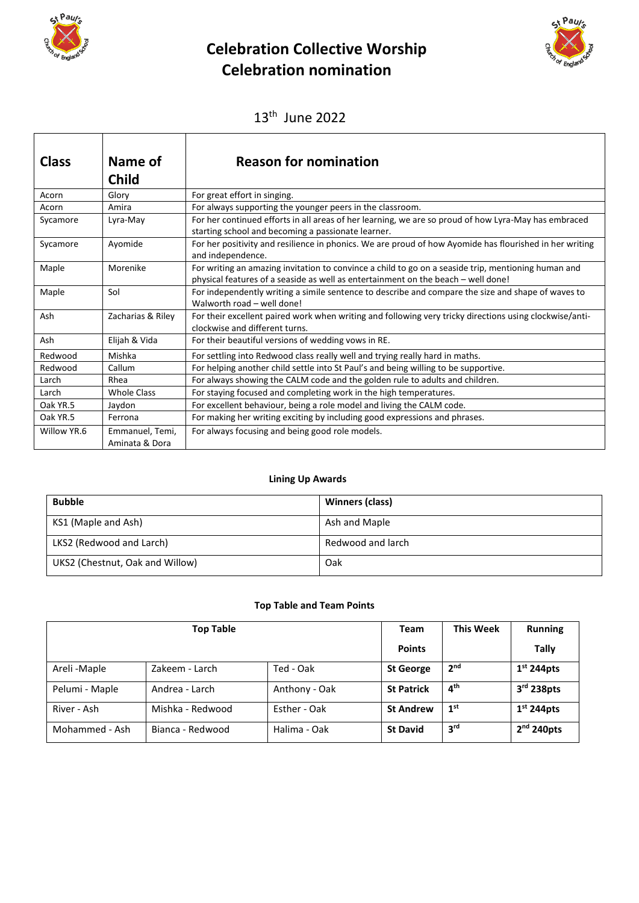

 $\overline{1}$ 

# **Celebration Collective Worship Celebration nomination**



13th June 2022

| <b>Class</b> | Name of<br><b>Child</b>           | <b>Reason for nomination</b>                                                                                                                                                             |
|--------------|-----------------------------------|------------------------------------------------------------------------------------------------------------------------------------------------------------------------------------------|
| Acorn        | Glory                             | For great effort in singing.                                                                                                                                                             |
| Acorn        | Amira                             | For always supporting the younger peers in the classroom.                                                                                                                                |
| Sycamore     | Lyra-May                          | For her continued efforts in all areas of her learning, we are so proud of how Lyra-May has embraced<br>starting school and becoming a passionate learner.                               |
| Sycamore     | Ayomide                           | For her positivity and resilience in phonics. We are proud of how Ayomide has flourished in her writing<br>and independence.                                                             |
| Maple        | Morenike                          | For writing an amazing invitation to convince a child to go on a seaside trip, mentioning human and<br>physical features of a seaside as well as entertainment on the beach - well done! |
| Maple        | Sol                               | For independently writing a simile sentence to describe and compare the size and shape of waves to<br>Walworth road - well done!                                                         |
| Ash          | Zacharias & Riley                 | For their excellent paired work when writing and following very tricky directions using clockwise/anti-<br>clockwise and different turns.                                                |
| Ash          | Elijah & Vida                     | For their beautiful versions of wedding vows in RE.                                                                                                                                      |
| Redwood      | Mishka                            | For settling into Redwood class really well and trying really hard in maths.                                                                                                             |
| Redwood      | Callum                            | For helping another child settle into St Paul's and being willing to be supportive.                                                                                                      |
| Larch        | Rhea                              | For always showing the CALM code and the golden rule to adults and children.                                                                                                             |
| Larch        | <b>Whole Class</b>                | For staying focused and completing work in the high temperatures.                                                                                                                        |
| Oak YR.5     | Jaydon                            | For excellent behaviour, being a role model and living the CALM code.                                                                                                                    |
| Oak YR.5     | Ferrona                           | For making her writing exciting by including good expressions and phrases.                                                                                                               |
| Willow YR.6  | Emmanuel, Temi,<br>Aminata & Dora | For always focusing and being good role models.                                                                                                                                          |

#### **Lining Up Awards**

| <b>Bubble</b>                   | Winners (class)   |
|---------------------------------|-------------------|
| KS1 (Maple and Ash)             | Ash and Maple     |
| LKS2 (Redwood and Larch)        | Redwood and larch |
| UKS2 (Chestnut, Oak and Willow) | Oak               |

# **Top Table and Team Points**

| <b>Top Table</b> |                  |               | <b>Team</b>       | <b>This Week</b> | <b>Running</b> |
|------------------|------------------|---------------|-------------------|------------------|----------------|
|                  |                  |               | <b>Points</b>     |                  | Tally          |
| Areli -Maple     | Zakeem - Larch   | Ted - Oak     | <b>St George</b>  | 2 <sub>nd</sub>  | $1st$ 244pts   |
| Pelumi - Maple   | Andrea - Larch   | Anthony - Oak | <b>St Patrick</b> | 4 <sup>th</sup>  | $3rd$ 238pts   |
| River - Ash      | Mishka - Redwood | Esther - Oak  | <b>St Andrew</b>  | 1 <sup>st</sup>  | $1st$ 244pts   |
| Mohammed - Ash   | Bianca - Redwood | Halima - Oak  | <b>St David</b>   | 3 <sup>rd</sup>  | $2nd$ 240pts   |